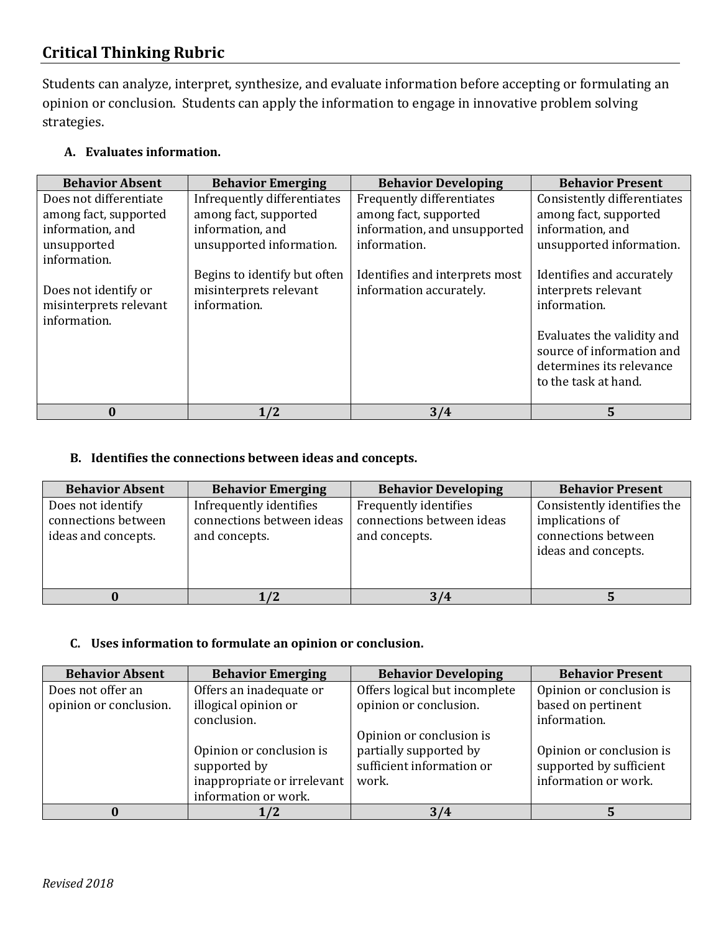# **Critical Thinking Rubric**

Students can analyze, interpret, synthesize, and evaluate information before accepting or formulating an opinion or conclusion. Students can apply the information to engage in innovative problem solving strategies.

| <b>Behavior Absent</b> | <b>Behavior Emerging</b>     | <b>Behavior Developing</b>     | <b>Behavior Present</b>     |
|------------------------|------------------------------|--------------------------------|-----------------------------|
| Does not differentiate | Infrequently differentiates  | Frequently differentiates      | Consistently differentiates |
| among fact, supported  | among fact, supported        | among fact, supported          | among fact, supported       |
| information, and       | information, and             | information, and unsupported   | information, and            |
| unsupported            | unsupported information.     | information.                   | unsupported information.    |
| information.           |                              |                                |                             |
|                        | Begins to identify but often | Identifies and interprets most | Identifies and accurately   |
| Does not identify or   | misinterprets relevant       | information accurately.        | interprets relevant         |
| misinterprets relevant | information.                 |                                | information.                |
| information.           |                              |                                |                             |
|                        |                              |                                | Evaluates the validity and  |
|                        |                              |                                | source of information and   |
|                        |                              |                                | determines its relevance    |
|                        |                              |                                | to the task at hand.        |
|                        |                              |                                |                             |
| $\bf{0}$               | 1/2                          | 3/4                            | 5                           |

## **A. Evaluates information.**

## **B. Identifies the connections between ideas and concepts.**

| <b>Behavior Absent</b>                                          | <b>Behavior Emerging</b>                                              | <b>Behavior Developing</b>                                          | <b>Behavior Present</b>                                                                      |
|-----------------------------------------------------------------|-----------------------------------------------------------------------|---------------------------------------------------------------------|----------------------------------------------------------------------------------------------|
| Does not identify<br>connections between<br>ideas and concepts. | Infrequently identifies<br>connections between ideas<br>and concepts. | Frequently identifies<br>connections between ideas<br>and concepts. | Consistently identifies the<br>implications of<br>connections between<br>ideas and concepts. |
|                                                                 |                                                                       | 3/4                                                                 |                                                                                              |

## **C. Uses information to formulate an opinion or conclusion.**

| <b>Behavior Absent</b> | <b>Behavior Emerging</b>    | <b>Behavior Developing</b>    | <b>Behavior Present</b>  |
|------------------------|-----------------------------|-------------------------------|--------------------------|
| Does not offer an      | Offers an inadequate or     | Offers logical but incomplete | Opinion or conclusion is |
| opinion or conclusion. | illogical opinion or        | opinion or conclusion.        | based on pertinent       |
|                        | conclusion.                 |                               | information.             |
|                        |                             | Opinion or conclusion is      |                          |
|                        | Opinion or conclusion is    | partially supported by        | Opinion or conclusion is |
|                        | supported by                | sufficient information or     | supported by sufficient  |
|                        | inappropriate or irrelevant | work.                         | information or work.     |
|                        | information or work.        |                               |                          |
|                        | 1/2                         | 3/4                           |                          |